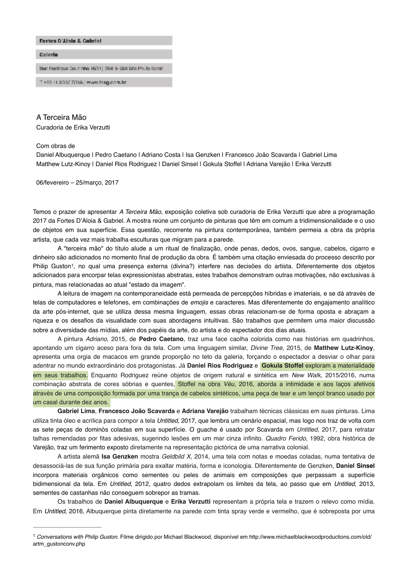

# A Terceira Mão

Curadoria de Erika Verzutti

#### Com obras de

Daniel Albuquerque | Pedro Caetano | Adriano Costa | Isa Genzken | Francesco João Scavarda | Gabriel Lima Matthew Lutz-Kinoy | Daniel Rios Rodriguez | Daniel Sinsel | Gokula Stoffel | Adriana Varejão | Erika Verzutti

06/fevereiro – 25/março, 2017

Temos o prazer de apresentar *A Terceira Mão*, exposição coletiva sob curadoria de Erika Verzutti que abre a programação 2017 da Fortes D'Aloia & Gabriel. A mostra reúne um conjunto de pinturas que têm em comum a tridimensionalidade e o uso de objetos em sua superfície. Essa questão, recorrente na pintura contemporânea, também permeia a obra da própria artista, que cada vez mais trabalha esculturas que migram para a parede.

<span id="page-0-1"></span>A "terceira mão" do título alude a um ritual de finalização, onde penas, dedos, ovos, sangue, cabelos, cigarro e dinheiro são adicionados no momento final de produção da obra. É também uma citação enviesada do processo descrito por Philip Guston<sup>[1](#page-0-0)</sup>, no qual uma presença externa (divina?) interfere nas decisões do artista. Diferentemente dos objetos adicionados para encorpar telas expressionistas abstratas, estes trabalhos demonstram outras motivações, não exclusivas à pintura, mas relacionadas ao atual "estado da imagem".

A leitura de imagem na contemporaneidade está permeada de percepções híbridas e imateriais, e se dá através de telas de computadores e telefones, em combinações de *emojis* e caracteres. Mas diferentemente do engajamento analítico da arte pós-internet, que se utiliza dessa mesma linguagem, essas obras relacionam-se de forma oposta e abraçam a riqueza e os desafios da visualidade com suas abordagens intuitivas. São trabalhos que permitem uma maior discussão sobre a diversidade das mídias, além dos papéis da arte, do artista e do espectador dos dias atuais.

A pintura *Adriano*, 2015, de **Pedro Caetano**, traz uma face caolha colorida como nas histórias em quadrinhos, apontando um cigarro aceso para fora da tela. Com uma linguagem similar, *Divine Tree,* 2015, de **Matthew Lutz-Kinoy**, apresenta uma orgia de macacos em grande proporção no teto da galeria, forçando o espectador a desviar o olhar para adentrar no mundo extraordinário dos protagonistas. Já **Daniel Rios Rodriguez** e **Gokula Stoffel** exploram a materialidade em seus trabalhos. Enquanto Rodriguez reúne objetos de origem natural e sintética em *New Walk,* 2015/2016, numa combinação abstrata de cores sóbrias e quentes, Stoffel na obra *Véu*, 2016, aborda a intimidade e aos laços afetivos através de uma composição formada por uma trança de cabelos sintéticos, uma peça de tear e um lençol branco usado por um casal durante dez anos.

**Gabriel Lima**, **Francesco João Scavarda** e **Adriana Varejão** trabalham técnicas clássicas em suas pinturas. Lima utiliza tinta óleo e acrílica para compor a tela *Untitled,* 2017, que lembra um cenário espacial, mas logo nos traz de volta com as sete peças de dominós coladas em sua superfície. O guache é usado por Scavarda em *Untitled*, 2017, para retratar talhas remendadas por fitas adesivas, sugerindo lesões em um mar cinza infinito. *Quadro Ferido*, 1992, obra histórica de Varejão, traz um ferimento exposto diretamente na representação pictórica de uma narrativa colonial.

A artista alemã **Isa Genzken** mostra *Geldbild X*, 2014, uma tela com notas e moedas coladas, numa tentativa de desassociá-las de sua função primária para exaltar matéria, forma e iconologia. Diferentemente de Genzken, **Daniel Sinsel** incorpora materiais orgânicos como sementes ou peles de animais em composições que perpassam a superfície bidimensional da tela. Em *Untitled,* 2012, quatro dedos extrapolam os limites da tela, ao passo que em *Untitled*, 2013, sementes de castanhas não conseguem sobrepor as tramas.

Os trabalhos de **Daniel Albuquerque** e **Erika Verzutti** representam a própria tela e trazem o relevo como mídia. Em *Untitled,* 2016, Albuquerque pinta diretamente na parede com tinta spray verde e vermelho, que é sobreposta por uma

<span id="page-0-0"></span>*Conversations with Philip Guston.* Filme dirigido por Michael Blackwood, disponível em http://www.michaelblackwoodproductions.com/old/ [1](#page-0-1) artm\_gustonconv.php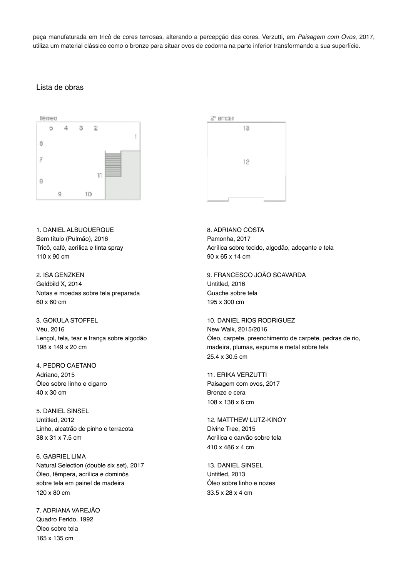peça manufaturada em tricô de cores terrosas, alterando a percepção das cores. Verzutti, em *Paisagem com Ovos*, 2017, utiliza um material clássico como o bronze para situar ovos de codorna na parte inferior transformando a sua superfície.

# Lista de obras



1. DANIEL ALBUQUERQUE Sem título (Pulmão), 2016 Tricô, café, acrílica e tinta spray 110 x 90 cm

2. ISA GENZKEN Geldbild X, 2014 Notas e moedas sobre tela preparada 60 x 60 cm

3. GOKULA STOFFEL Véu, 2016 Lençol, tela, tear e trança sobre algodão 198 x 149 x 20 cm

4. PEDRO CAETANO Adriano, 2015 Óleo sobre linho e cigarro 40 x 30 cm

5. DANIEL SINSEL Untitled, 2012 Linho, alcatrão de pinho e terracota 38 x 31 x 7.5 cm

6. GABRIEL LIMA Natural Selection (double six set), 2017 Óleo, têmpera, acrílica e dominós sobre tela em painel de madeira 120 x 80 cm

7. ADRIANA VAREJÃO Quadro Ferido, 1992 Óleo sobre tela 165 x 135 cm



8. ADRIANO COSTA Pamonha, 2017 Acrílica sobre tecido, algodão, adoçante e tela 90 x 65 x 14 cm

9. FRANCESCO JOÃO SCAVARDA Untitled, 2016 Guache sobre tela 195 x 300 cm

10. DANIEL RIOS RODRIGUEZ New Walk, 2015/2016 Óleo, carpete, preenchimento de carpete, pedras de rio, madeira, plumas, espuma e metal sobre tela 25.4 x 30.5 cm

11. ERIKA VERZUTTI Paisagem com ovos, 2017 Bronze e cera 108 x 138 x 6 cm

12. MATTHEW LUTZ-KINOY Divine Tree, 2015 Acrílica e carvão sobre tela 410 x 486 x 4 cm

13. DANIEL SINSEL Untitled, 2013 Óleo sobre linho e nozes 33.5 x 28 x 4 cm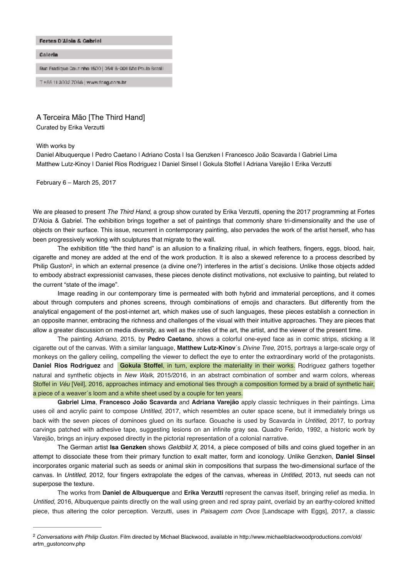

## A Terceira Mão [The Third Hand]

Curated by Erika Verzutti

#### With works by

Daniel Albuquerque | Pedro Caetano | Adriano Costa | Isa Genzken | Francesco João Scavarda | Gabriel Lima Matthew Lutz-Kinoy | Daniel Rios Rodriguez | Daniel Sinsel | Gokula Stoffel | Adriana Varejão | Erika Verzutti

February 6 – March 25, 2017

We are pleased to present *The Third Hand*, a group show curated by Erika Verzutti, opening the 2017 programming at Fortes D'Aloia & Gabriel. The exhibition brings together a set of paintings that commonly share tri-dimensionality and the use of objects on their surface. This issue, recurrent in contemporary painting, also pervades the work of the artist herself, who has been progressively working with sculptures that migrate to the wall.

<span id="page-2-1"></span>The exhibition title "the third hand" is an allusion to a finalizing ritual, in which feathers, fingers, eggs, blood, hair, cigarette and money are added at the end of the work production. It is also a skewed reference to a process described by Philip Guston<sup>2</sup>[,](#page-2-0) in which an external presence (a divine one?) interferes in the artist's decisions. Unlike those objects added to embody abstract expressionist canvases, these pieces denote distinct motivations, not exclusive to painting, but related to the current "state of the image".

Image reading in our contemporary time is permeated with both hybrid and immaterial perceptions, and it comes about through computers and phones screens, through combinations of emojis and characters. But differently from the analytical engagement of the post-internet art, which makes use of such languages, these pieces establish a connection in an opposite manner, embracing the richness and challenges of the visual with their intuitive approaches. They are pieces that allow a greater discussion on media diversity, as well as the roles of the art, the artist, and the viewer of the present time.

The painting *Adriano*, 2015, by **Pedro Caetano**, shows a colorful one-eyed face as in comic strips, sticking a lit cigarette out of the canvas. With a similar language, **Matthew Lutz-Kinov**´s *Divine Tree*, 2015, portrays a large-scale orgy of monkeys on the gallery ceiling, compelling the viewer to deflect the eye to enter the extraordinary world of the protagonists. **Daniel Rios Rodriguez** and **Gokula Stoffel**, in turn, explore the materiality in their works. Rodriguez gathers together natural and synthetic objects in *New Walk*, 2015/2016, in an abstract combination of somber and warm colors, whereas Stoffel in *Véu* [Veil], 2016, approaches intimacy and emotional ties through a composition formed by a braid of synthetic hair, a piece of a weaver´s loom and a white sheet used by a couple for ten years.

**Gabriel Lima**, **Francesco João Scavarda** and **Adriana Varejão** apply classic techniques in their paintings. Lima uses oil and acrylic paint to compose *Untitled*, 2017, which resembles an outer space scene, but it immediately brings us back with the seven pieces of dominoes glued on its surface. Gouache is used by Scavarda in *Untitled*, 2017, to portray carvings patched with adhesive tape, suggesting lesions on an infinite gray sea. Quadro Ferido, 1992, a historic work by Varejão, brings an injury exposed directly in the pictorial representation of a colonial narrative.

The German artist **Isa Genzken** shows *Geldbild X*, 2014, a piece composed of bills and coins glued together in an attempt to dissociate these from their primary function to exalt matter, form and iconology. Unlike Genzken, **Daniel Sinsel** incorporates organic material such as seeds or animal skin in compositions that surpass the two-dimensional surface of the canvas. In *Untitled*, 2012, four fingers extrapolate the edges of the canvas, whereas in *Untitled*, 2013, nut seeds can not superpose the texture.

The works from **Daniel de Albuquerque** and **Erika Verzutti** represent the canvas itself, bringing relief as media. In *Untitled*, 2016, Albuquerque paints directly on the wall using green and red spray paint, overlaid by an earthy-colored knitted piece, thus altering the color perception. Verzutti, uses in *Paisagem com Ovos* [Landscape with Eggs], 2017, a classic

<span id="page-2-0"></span><sup>&</sup>lt;sup>[2](#page-2-1)</sup> Conversations with Philip Guston. Film directed by Michael Blackwood, available in http://www.michaelblackwoodproductions.com/old/ artm\_gustonconv.php